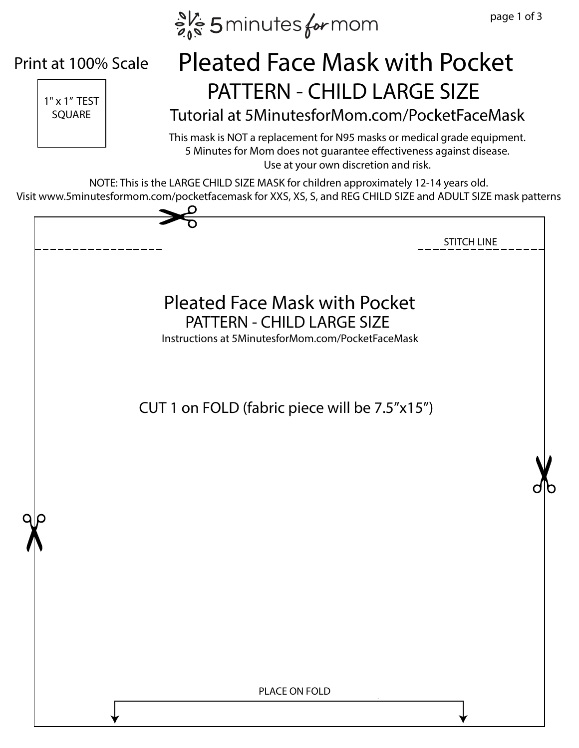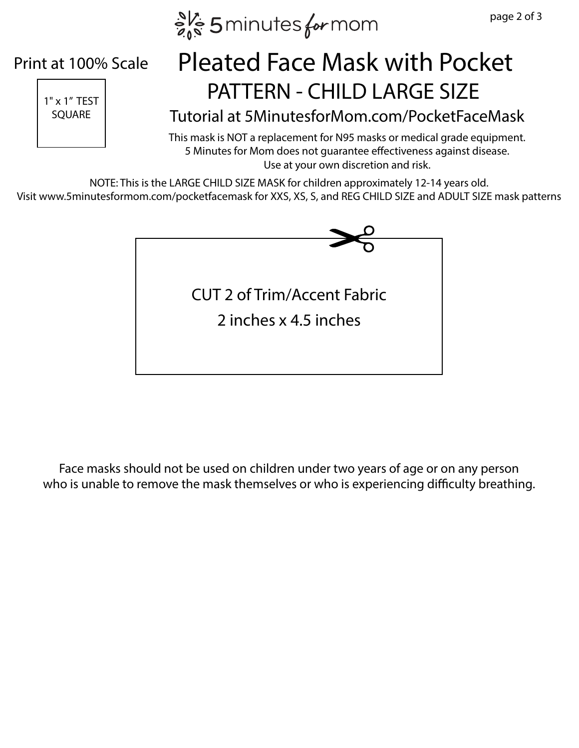$e^{N_c}$  5 minutes for mom





## $\overline{P_{11}^{11} \times 11^{11} \text{ TEST}}$  PATTERN - CHILD LARGE SIZE Pleated Face Mask with Pocket

## SQUARE Tutorial at 5MinutesforMom.com/PocketFaceMask

This mask is NOT a replacement for N95 masks or medical grade equipment. 5 Minutes for Mom does not guarantee effectiveness against disease. Use at your own discretion and risk.

NOTE: This is the LARGE CHILD SIZE MASK for children approximately 12-14 years old. Visit www.5minutesformom.com/pocketfacemask for XXS, XS, S, and REG CHILD SIZE and ADULT SIZE mask patterns



Face masks should not be used on children under two years of age or on any person who is unable to remove the mask themselves or who is experiencing difficulty breathing.